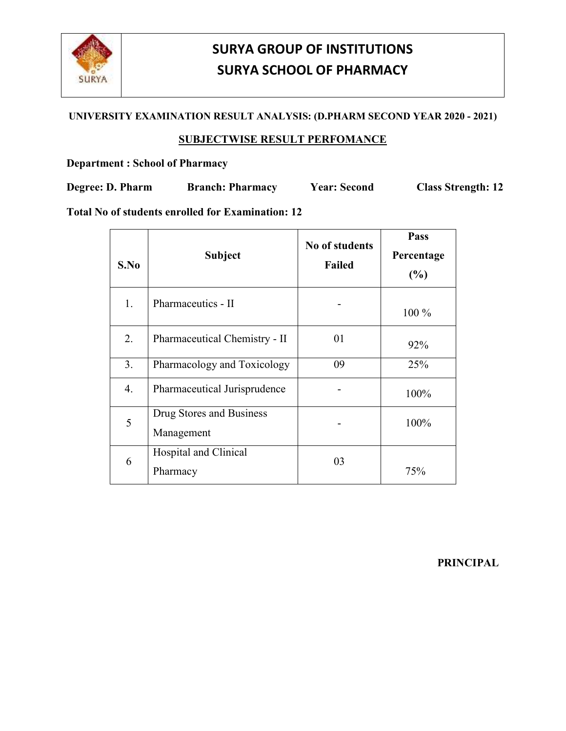

# **SURYA GROUP OF INSTITUTIONS SURYA SCHOOL OF PHARMACY**

#### **UNIVERSITY EXAMINATION RESULT ANALYSIS: (D.PHARM SECOND YEAR 2020 - 2021)**

### **SUBJECTWISE RESULT PERFOMANCE**

### **Department : School of Pharmacy**

**Degree: D. Pharm Branch: Pharmacy Year: Second Class Strength: 12** 

**Total No of students enrolled for Examination: 12** 

| S.No | <b>Subject</b>                         | No of students<br><b>Failed</b> | Pass<br>Percentage<br>(%) |
|------|----------------------------------------|---------------------------------|---------------------------|
| 1.   | Pharmaceutics - II                     |                                 | 100 %                     |
| 2.   | Pharmaceutical Chemistry - II          | 01                              | 92%                       |
| 3.   | Pharmacology and Toxicology            | 09                              | 25%                       |
| 4.   | Pharmaceutical Jurisprudence           |                                 | 100%                      |
| 5    | Drug Stores and Business<br>Management |                                 | 100%                      |
| 6    | Hospital and Clinical<br>Pharmacy      | 03                              | 75%                       |

**PRINCIPAL**